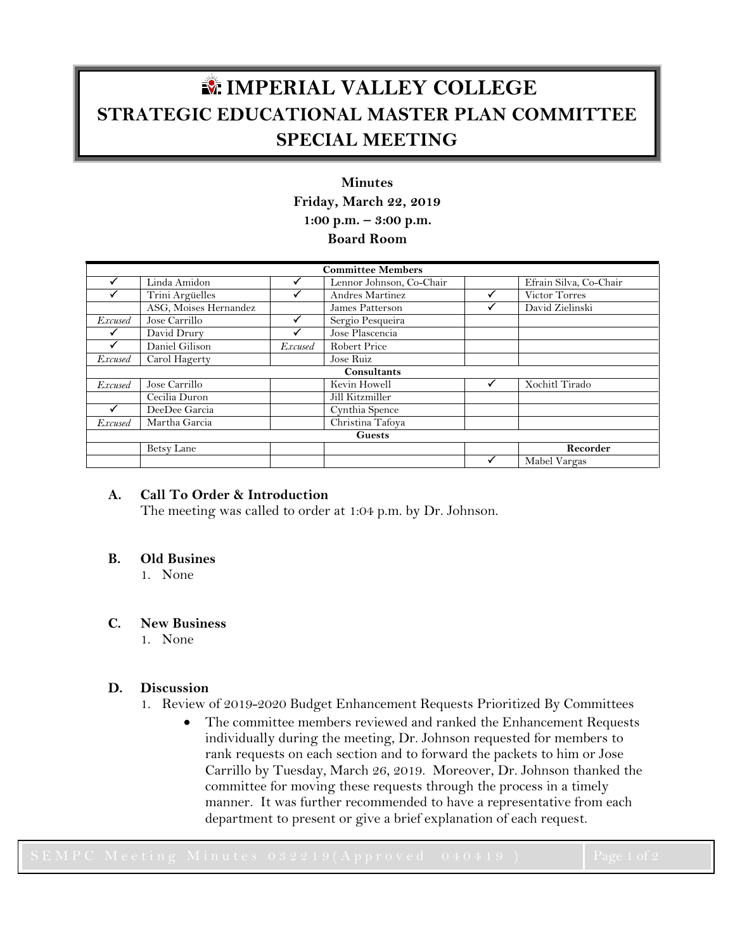# **IMPERIAL VALLEY COLLEGE STRATEGIC EDUCATIONAL MASTER PLAN COMMITTEE SPECIAL MEETING**

# **Minutes Friday, March 22, 2019 1:00 p.m. – 3:00 p.m. Board Room**

| <b>Committee Members</b> |                       |                |                          |  |                        |
|--------------------------|-----------------------|----------------|--------------------------|--|------------------------|
|                          | Linda Amidon          |                | Lennor Johnson, Co-Chair |  | Efrain Silva, Co-Chair |
|                          | Trini Argüelles       |                | Andres Martinez          |  | Victor Torres          |
|                          | ASG, Moises Hernandez |                | James Patterson          |  | David Zielinski        |
| <i>Excused</i>           | Jose Carrillo         |                | Sergio Pesqueira         |  |                        |
|                          | David Drury           |                | Jose Plascencia          |  |                        |
|                          | Daniel Gilison        | <b>Excused</b> | <b>Robert Price</b>      |  |                        |
| <b>Excused</b>           | Carol Hagerty         |                | Jose Ruiz                |  |                        |
| Consultants              |                       |                |                          |  |                        |
| <b>Excused</b>           | Jose Carrillo         |                | Kevin Howell             |  | Xochitl Tirado         |
|                          | Cecilia Duron         |                | Jill Kitzmiller          |  |                        |
|                          | DeeDee Garcia         |                | Cynthia Spence           |  |                        |
| <b>Excused</b>           | Martha Garcia         |                | Christina Tafoya         |  |                        |
| <b>Guests</b>            |                       |                |                          |  |                        |
|                          | Betsy Lane            |                |                          |  | Recorder               |
|                          |                       |                |                          |  | Mabel Vargas           |

## **A. Call To Order & Introduction**

The meeting was called to order at 1:04 p.m. by Dr. Johnson.

### **B. Old Busines**

1. None

### **C. New Business**

1. None

### **D. Discussion**

- 1. Review of 2019-2020 Budget Enhancement Requests Prioritized By Committees
	- The committee members reviewed and ranked the Enhancement Requests individually during the meeting, Dr. Johnson requested for members to rank requests on each section and to forward the packets to him or Jose Carrillo by Tuesday, March 26, 2019. Moreover, Dr. Johnson thanked the committee for moving these requests through the process in a timely manner. It was further recommended to have a representative from each department to present or give a brief explanation of each request.